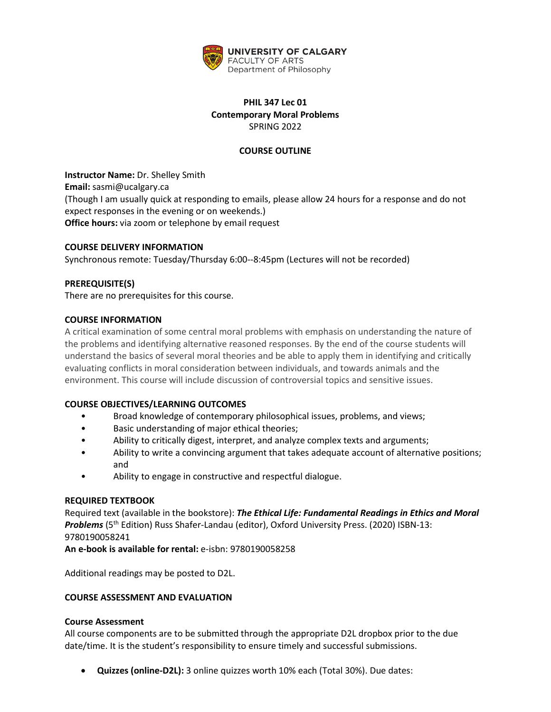

# **PHIL 347 Lec 01 Contemporary Moral Problems** SPRING 2022

# **COURSE OUTLINE**

**Instructor Name:** Dr. Shelley Smith **Email:** sasmi@ucalgary.ca (Though I am usually quick at responding to emails, please allow 24 hours for a response and do not expect responses in the evening or on weekends.) **Office hours:** via zoom or telephone by email request

# **COURSE DELIVERY INFORMATION**

Synchronous remote: Tuesday/Thursday 6:00--8:45pm (Lectures will not be recorded)

# **PREREQUISITE(S)**

There are no prerequisites for this course.

### **COURSE INFORMATION**

A critical examination of some central moral problems with emphasis on understanding the nature of the problems and identifying alternative reasoned responses. By the end of the course students will understand the basics of several moral theories and be able to apply them in identifying and critically evaluating conflicts in moral consideration between individuals, and towards animals and the environment. This course will include discussion of controversial topics and sensitive issues.

# **COURSE OBJECTIVES/LEARNING OUTCOMES**

- Broad knowledge of contemporary philosophical issues, problems, and views;
- Basic understanding of major ethical theories;
- Ability to critically digest, interpret, and analyze complex texts and arguments;
- Ability to write a convincing argument that takes adequate account of alternative positions; and
- Ability to engage in constructive and respectful dialogue.

#### **REQUIRED TEXTBOOK**

Required text (available in the bookstore): *The Ethical Life: Fundamental Readings in Ethics and Moral*  **Problems** (5<sup>th</sup> Edition) Russ Shafer-Landau (editor), Oxford University Press. (2020) ISBN-13: 9780190058241

**An e-book is available for rental:** e-isbn: 9780190058258

Additional readings may be posted to D2L.

#### **COURSE ASSESSMENT AND EVALUATION**

#### **Course Assessment**

All course components are to be submitted through the appropriate D2L dropbox prior to the due date/time. It is the student's responsibility to ensure timely and successful submissions.

• **Quizzes (online-D2L):** 3 online quizzes worth 10% each (Total 30%). Due dates: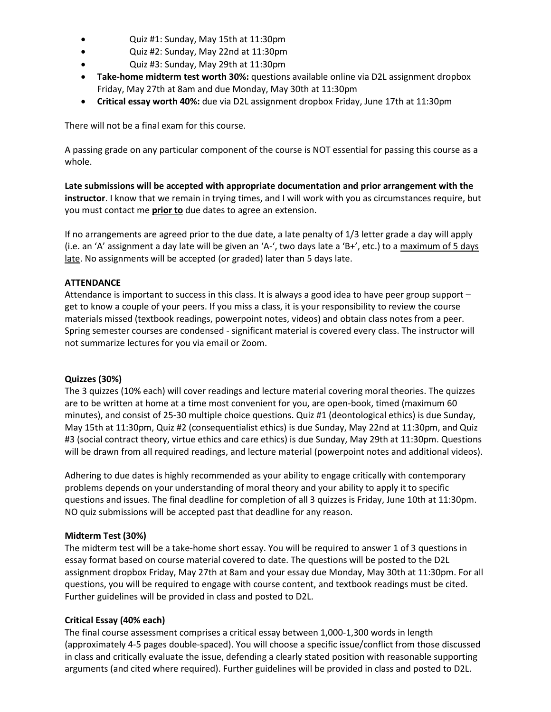- Quiz #1: Sunday, May 15th at 11:30pm
- Quiz #2: Sunday, May 22nd at 11:30pm
- Quiz #3: Sunday, May 29th at 11:30pm
- **Take-home midterm test worth 30%:** questions available online via D2L assignment dropbox Friday, May 27th at 8am and due Monday, May 30th at 11:30pm
- **Critical essay worth 40%:** due via D2L assignment dropbox Friday, June 17th at 11:30pm

There will not be a final exam for this course.

A passing grade on any particular component of the course is NOT essential for passing this course as a whole.

**Late submissions will be accepted with appropriate documentation and prior arrangement with the instructor**. I know that we remain in trying times, and I will work with you as circumstances require, but you must contact me **prior to** due dates to agree an extension.

If no arrangements are agreed prior to the due date, a late penalty of 1/3 letter grade a day will apply (i.e. an 'A' assignment a day late will be given an 'A-', two days late a 'B+', etc.) to a maximum of 5 days late. No assignments will be accepted (or graded) later than 5 days late.

# **ATTENDANCE**

Attendance is important to success in this class. It is always a good idea to have peer group support – get to know a couple of your peers. If you miss a class, it is your responsibility to review the course materials missed (textbook readings, powerpoint notes, videos) and obtain class notes from a peer. Spring semester courses are condensed - significant material is covered every class. The instructor will not summarize lectures for you via email or Zoom.

# **Quizzes (30%)**

The 3 quizzes (10% each) will cover readings and lecture material covering moral theories. The quizzes are to be written at home at a time most convenient for you, are open-book, timed (maximum 60 minutes), and consist of 25-30 multiple choice questions. Quiz #1 (deontological ethics) is due Sunday, May 15th at 11:30pm, Quiz #2 (consequentialist ethics) is due Sunday, May 22nd at 11:30pm, and Quiz #3 (social contract theory, virtue ethics and care ethics) is due Sunday, May 29th at 11:30pm. Questions will be drawn from all required readings, and lecture material (powerpoint notes and additional videos).

Adhering to due dates is highly recommended as your ability to engage critically with contemporary problems depends on your understanding of moral theory and your ability to apply it to specific questions and issues. The final deadline for completion of all 3 quizzes is Friday, June 10th at 11:30pm. NO quiz submissions will be accepted past that deadline for any reason.

# **Midterm Test (30%)**

The midterm test will be a take-home short essay. You will be required to answer 1 of 3 questions in essay format based on course material covered to date. The questions will be posted to the D2L assignment dropbox Friday, May 27th at 8am and your essay due Monday, May 30th at 11:30pm. For all questions, you will be required to engage with course content, and textbook readings must be cited. Further guidelines will be provided in class and posted to D2L.

# **Critical Essay (40% each)**

The final course assessment comprises a critical essay between 1,000-1,300 words in length (approximately 4-5 pages double-spaced). You will choose a specific issue/conflict from those discussed in class and critically evaluate the issue, defending a clearly stated position with reasonable supporting arguments (and cited where required). Further guidelines will be provided in class and posted to D2L.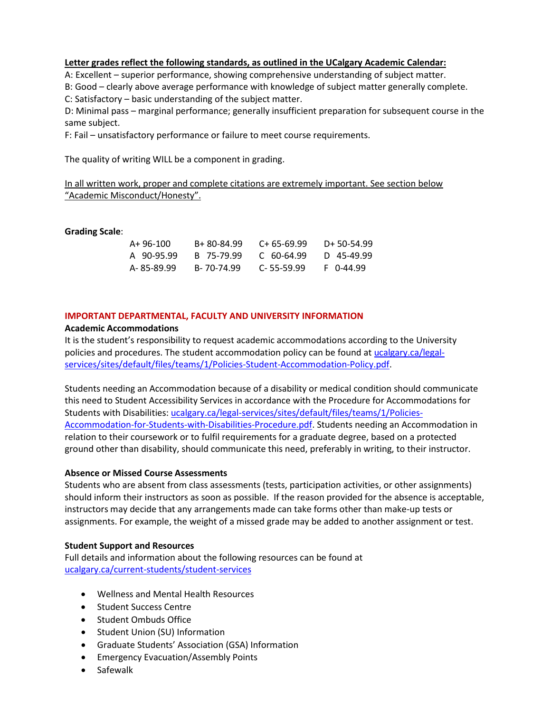### **Letter grades reflect the following standards, as outlined in the UCalgary Academic Calendar:**

A: Excellent – superior performance, showing comprehensive understanding of subject matter.

B: Good – clearly above average performance with knowledge of subject matter generally complete.

C: Satisfactory – basic understanding of the subject matter.

D: Minimal pass – marginal performance; generally insufficient preparation for subsequent course in the same subject.

F: Fail – unsatisfactory performance or failure to meet course requirements.

The quality of writing WILL be a component in grading.

In all written work, proper and complete citations are extremely important. See section below "Academic Misconduct/Honesty".

### **Grading Scale**:

| A+ 96-100   | B+ 80-84.99 | $C+65-69.99$     | $D+50-54.99$ |
|-------------|-------------|------------------|--------------|
| A 90-95.99  | B 75-79.99  | C 60-64.99       | D 45-49.99   |
| A- 85-89.99 | B-70-74.99  | $C - 55 - 59.99$ | $F$ 0-44.99  |

### **IMPORTANT DEPARTMENTAL, FACULTY AND UNIVERSITY INFORMATION**

### **Academic Accommodations**

It is the student's responsibility to request academic accommodations according to the University policies and procedures. The student accommodation policy can be found a[t ucalgary.ca/legal](http://www.ucalgary.ca/legal-services/sites/default/files/teams/1/Policies-Student-Accommodation-Policy.pdf)[services/sites/default/files/teams/1/Policies-Student-Accommodation-Policy.pdf.](http://www.ucalgary.ca/legal-services/sites/default/files/teams/1/Policies-Student-Accommodation-Policy.pdf)

Students needing an Accommodation because of a disability or medical condition should communicate this need to Student Accessibility Services in accordance with the Procedure for Accommodations for Students with Disabilities: [ucalgary.ca/legal-services/sites/default/files/teams/1/Policies-](https://www.ucalgary.ca/legal-services/sites/default/files/teams/1/Policies-Accommodation-for-Students-with-Disabilities-Procedure.pdf)[Accommodation-for-Students-with-Disabilities-Procedure.pdf.](https://www.ucalgary.ca/legal-services/sites/default/files/teams/1/Policies-Accommodation-for-Students-with-Disabilities-Procedure.pdf) Students needing an Accommodation in relation to their coursework or to fulfil requirements for a graduate degree, based on a protected ground other than disability, should communicate this need, preferably in writing, to their instructor.

# **Absence or Missed Course Assessments**

Students who are absent from class assessments (tests, participation activities, or other assignments) should inform their instructors as soon as possible. If the reason provided for the absence is acceptable, instructors may decide that any arrangements made can take forms other than make-up tests or assignments. For example, the weight of a missed grade may be added to another assignment or test.

#### **Student Support and Resources**

Full details and information about the following resources can be found a[t](https://www.ucalgary.ca/current-students/student-services)  [ucalgary.ca/current-students/student-services](https://www.ucalgary.ca/current-students/student-services)

- Wellness and Mental Health Resources
- Student Success Centre
- Student Ombuds Office
- Student Union (SU) Information
- Graduate Students' Association (GSA) Information
- Emergency Evacuation/Assembly Points
- Safewalk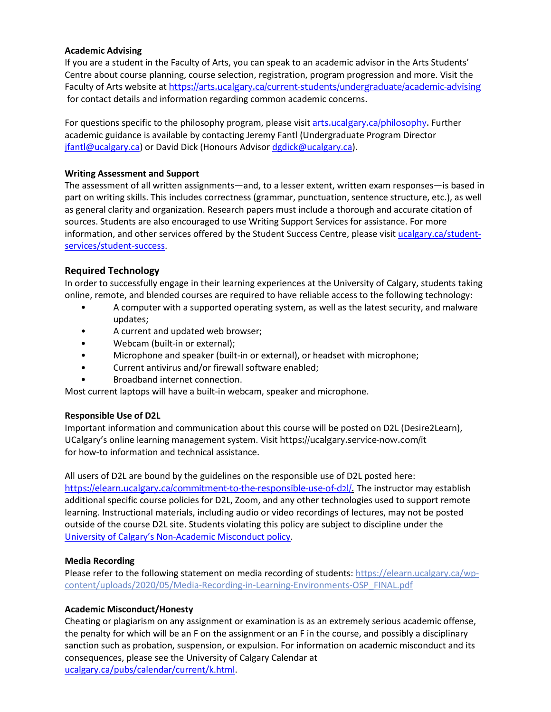# **Academic Advising**

If you are a student in the Faculty of Arts, you can speak to an academic advisor in the Arts Students' Centre about course planning, course selection, registration, program progression and more. Visit the Faculty of Arts website at <https://arts.ucalgary.ca/current-students/undergraduate/academic-advising> for contact details and information regarding common academic concerns.

For questions specific to the philosophy program, please visit arts.ucalgary.ca/philosophy. Further academic guidance is available by contacting Jeremy Fantl (Undergraduate Program Director [jfantl@ucalgary.ca\)](mailto:jfantl@ucalgary.ca) or David Dick (Honours Adviso[r dgdick@ucalgary.ca\)](mailto:dgdick@ucalgary.ca).

### **Writing Assessment and Support**

The assessment of all written assignments—and, to a lesser extent, written exam responses—is based in part on writing skills. This includes correctness (grammar, punctuation, sentence structure, etc.), as well as general clarity and organization. Research papers must include a thorough and accurate citation of sources. Students are also encouraged to use Writing Support Services for assistance. For more information, and other services offered by the Student Success Centre, please visit [ucalgary.ca/student](https://ucalgary.ca/student-services/student-success)[services/student-success.](https://ucalgary.ca/student-services/student-success)

# **Required Technology**

In order to successfully engage in their learning experiences at the University of Calgary, students taking online, remote, and blended courses are required to have reliable access to the following technology:

- A computer with a supported operating system, as well as the latest security, and malware updates;
- A current and updated web browser;
- Webcam (built-in or external);
- Microphone and speaker (built-in or external), or headset with microphone;
- Current antivirus and/or firewall software enabled;
- Broadband internet connection.

Most current laptops will have a built-in webcam, speaker and microphone.

# **Responsible Use of D2L**

Important information and communication about this course will be posted on D2L (Desire2Learn), UCalgary's online learning management system. Visit https://ucalgary.service-now.com/it for how-to information and technical assistance.

All users of D2L are bound by the guidelines on the responsible use of D2L posted here: [https://elearn.ucalgary.ca/commitment-to-the-responsible-use-of-d2l/.](https://elearn.ucalgary.ca/commitment-to-the-responsible-use-of-d2l/) The instructor may establish additional specific course policies for D2L, Zoom, and any other technologies used to support remote learning. Instructional materials, including audio or video recordings of lectures, may not be posted outside of the course D2L site. Students violating this policy are subject to discipline under the [University of Calgary's Non-Academic Misconduct policy.](https://www.ucalgary.ca/legal-services/sites/default/files/teams/1/Policies-Student-Non-Academic-Misconduct-Policy.pdf)

# **Media Recording**

Please refer to the following statement on media recording of students: [https://elearn.ucalgary.ca/wp](https://elearn.ucalgary.ca/wp-content/uploads/2020/05/Media-Recording-in-Learning-Environments-OSP_FINAL.pdf)[content/uploads/2020/05/Media-Recording-in-Learning-Environments-OSP\\_FINAL.pdf](https://elearn.ucalgary.ca/wp-content/uploads/2020/05/Media-Recording-in-Learning-Environments-OSP_FINAL.pdf)

# **Academic Misconduct/Honesty**

Cheating or plagiarism on any assignment or examination is as an extremely serious academic offense, the penalty for which will be an F on the assignment or an F in the course, and possibly a disciplinary sanction such as probation, suspension, or expulsion. For information on academic misconduct and its consequences, please see the University of Calgary Calendar at [ucalgary.ca/pubs/calendar/current/k.html.](https://ucalgary.ca/pubs/calendar/current/k.html)